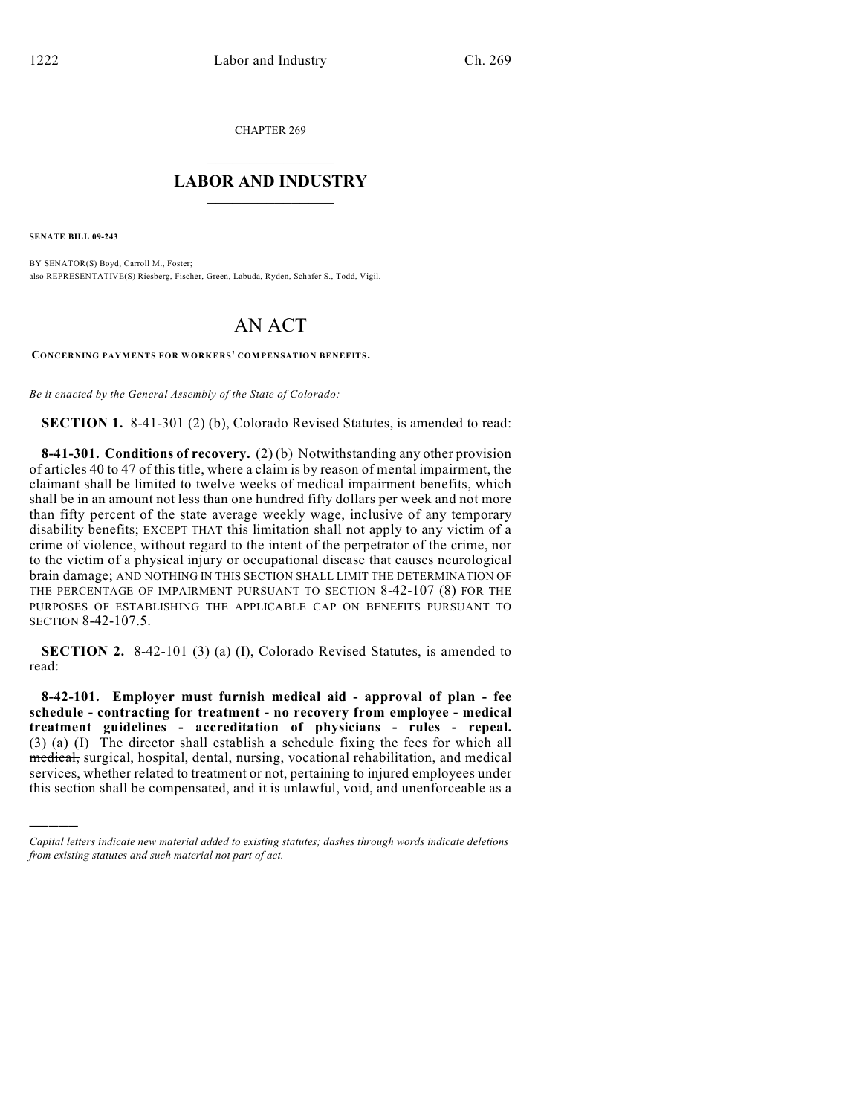CHAPTER 269

## $\mathcal{L}_\text{max}$  . The set of the set of the set of the set of the set of the set of the set of the set of the set of the set of the set of the set of the set of the set of the set of the set of the set of the set of the set **LABOR AND INDUSTRY**  $\frac{1}{\sqrt{2}}$  ,  $\frac{1}{\sqrt{2}}$  ,  $\frac{1}{\sqrt{2}}$  ,  $\frac{1}{\sqrt{2}}$  ,  $\frac{1}{\sqrt{2}}$  ,  $\frac{1}{\sqrt{2}}$

**SENATE BILL 09-243**

)))))

BY SENATOR(S) Boyd, Carroll M., Foster; also REPRESENTATIVE(S) Riesberg, Fischer, Green, Labuda, Ryden, Schafer S., Todd, Vigil.

## AN ACT

**CONCERNING PAYMENTS FOR WORKERS' COMPENSATION BENEFITS.**

*Be it enacted by the General Assembly of the State of Colorado:*

**SECTION 1.** 8-41-301 (2) (b), Colorado Revised Statutes, is amended to read:

**8-41-301. Conditions of recovery.** (2) (b) Notwithstanding any other provision of articles 40 to 47 of this title, where a claim is by reason of mental impairment, the claimant shall be limited to twelve weeks of medical impairment benefits, which shall be in an amount not less than one hundred fifty dollars per week and not more than fifty percent of the state average weekly wage, inclusive of any temporary disability benefits; EXCEPT THAT this limitation shall not apply to any victim of a crime of violence, without regard to the intent of the perpetrator of the crime, nor to the victim of a physical injury or occupational disease that causes neurological brain damage; AND NOTHING IN THIS SECTION SHALL LIMIT THE DETERMINATION OF THE PERCENTAGE OF IMPAIRMENT PURSUANT TO SECTION 8-42-107 (8) FOR THE PURPOSES OF ESTABLISHING THE APPLICABLE CAP ON BENEFITS PURSUANT TO SECTION 8-42-107.5.

**SECTION 2.** 8-42-101 (3) (a) (I), Colorado Revised Statutes, is amended to read:

**8-42-101. Employer must furnish medical aid - approval of plan - fee schedule - contracting for treatment - no recovery from employee - medical treatment guidelines - accreditation of physicians - rules - repeal.** (3) (a) (I) The director shall establish a schedule fixing the fees for which all medical, surgical, hospital, dental, nursing, vocational rehabilitation, and medical services, whether related to treatment or not, pertaining to injured employees under this section shall be compensated, and it is unlawful, void, and unenforceable as a

*Capital letters indicate new material added to existing statutes; dashes through words indicate deletions from existing statutes and such material not part of act.*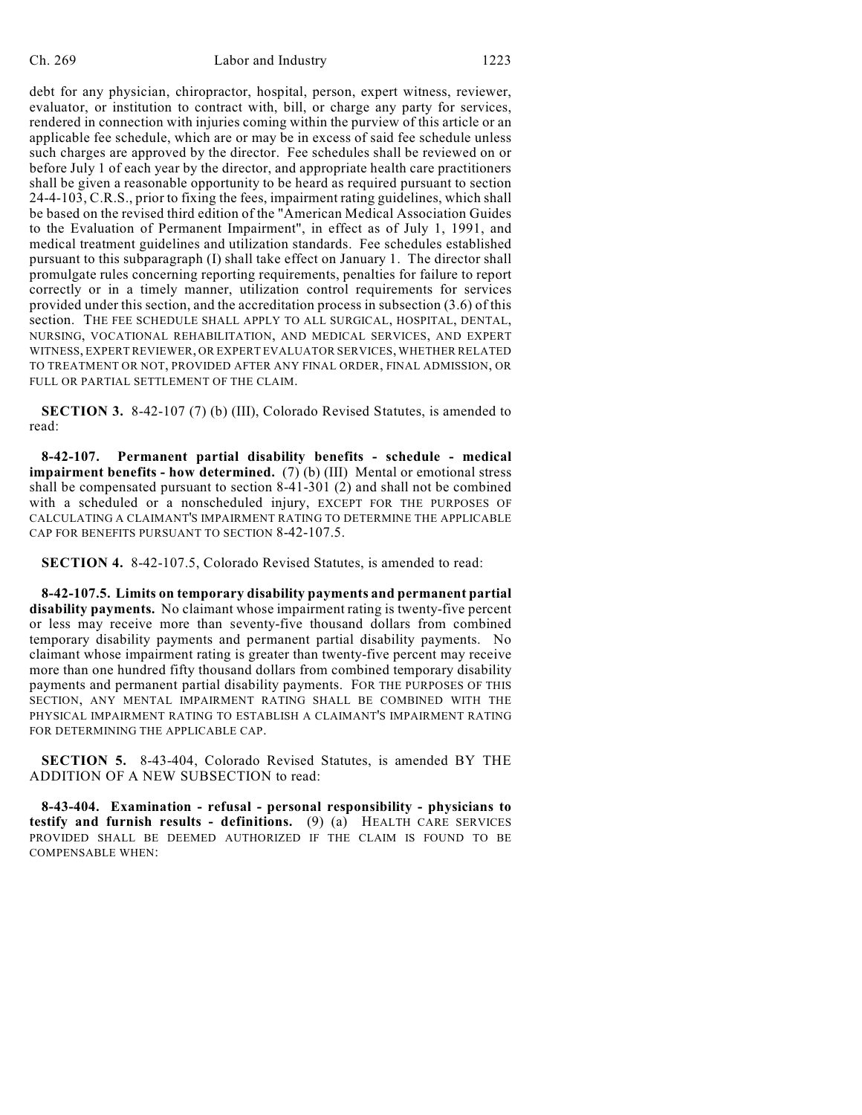debt for any physician, chiropractor, hospital, person, expert witness, reviewer, evaluator, or institution to contract with, bill, or charge any party for services, rendered in connection with injuries coming within the purview of this article or an applicable fee schedule, which are or may be in excess of said fee schedule unless such charges are approved by the director. Fee schedules shall be reviewed on or before July 1 of each year by the director, and appropriate health care practitioners shall be given a reasonable opportunity to be heard as required pursuant to section 24-4-103, C.R.S., prior to fixing the fees, impairment rating guidelines, which shall be based on the revised third edition of the "American Medical Association Guides to the Evaluation of Permanent Impairment", in effect as of July 1, 1991, and medical treatment guidelines and utilization standards. Fee schedules established pursuant to this subparagraph (I) shall take effect on January 1. The director shall promulgate rules concerning reporting requirements, penalties for failure to report correctly or in a timely manner, utilization control requirements for services provided under this section, and the accreditation process in subsection (3.6) of this section. THE FEE SCHEDULE SHALL APPLY TO ALL SURGICAL, HOSPITAL, DENTAL, NURSING, VOCATIONAL REHABILITATION, AND MEDICAL SERVICES, AND EXPERT WITNESS, EXPERT REVIEWER, OR EXPERT EVALUATOR SERVICES, WHETHER RELATED TO TREATMENT OR NOT, PROVIDED AFTER ANY FINAL ORDER, FINAL ADMISSION, OR FULL OR PARTIAL SETTLEMENT OF THE CLAIM.

**SECTION 3.** 8-42-107 (7) (b) (III), Colorado Revised Statutes, is amended to read:

**8-42-107. Permanent partial disability benefits - schedule - medical impairment benefits - how determined.** (7) (b) (III) Mental or emotional stress shall be compensated pursuant to section 8-41-301 (2) and shall not be combined with a scheduled or a nonscheduled injury, EXCEPT FOR THE PURPOSES OF CALCULATING A CLAIMANT'S IMPAIRMENT RATING TO DETERMINE THE APPLICABLE CAP FOR BENEFITS PURSUANT TO SECTION 8-42-107.5.

**SECTION 4.** 8-42-107.5, Colorado Revised Statutes, is amended to read:

**8-42-107.5. Limits on temporary disability payments and permanent partial disability payments.** No claimant whose impairment rating is twenty-five percent or less may receive more than seventy-five thousand dollars from combined temporary disability payments and permanent partial disability payments. No claimant whose impairment rating is greater than twenty-five percent may receive more than one hundred fifty thousand dollars from combined temporary disability payments and permanent partial disability payments. FOR THE PURPOSES OF THIS SECTION, ANY MENTAL IMPAIRMENT RATING SHALL BE COMBINED WITH THE PHYSICAL IMPAIRMENT RATING TO ESTABLISH A CLAIMANT'S IMPAIRMENT RATING FOR DETERMINING THE APPLICABLE CAP.

**SECTION 5.** 8-43-404, Colorado Revised Statutes, is amended BY THE ADDITION OF A NEW SUBSECTION to read:

**8-43-404. Examination - refusal - personal responsibility - physicians to testify and furnish results - definitions.** (9) (a) HEALTH CARE SERVICES PROVIDED SHALL BE DEEMED AUTHORIZED IF THE CLAIM IS FOUND TO BE COMPENSABLE WHEN: